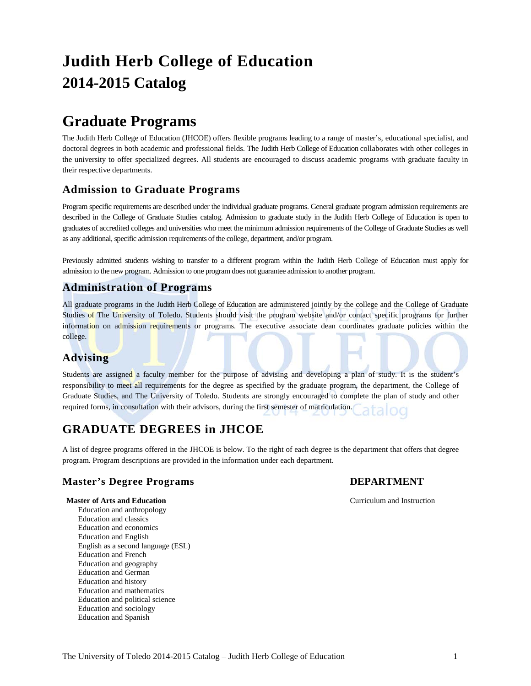# **Judith Herb College of Education 2014-2015 Catalog**

## **Graduate Programs**

The Judith Herb College of Education (JHCOE) offers flexible programs leading to a range of master's, educational specialist, and doctoral degrees in both academic and professional fields. The Judith Herb College of Education collaborates with other colleges in the university to offer specialized degrees. All students are encouraged to discuss academic programs with graduate faculty in their respective departments.

## **Admission to Graduate Programs**

Program specific requirements are described under the individual graduate programs. General graduate program admission requirements are described in the College of Graduate Studies catalog. Admission to graduate study in the Judith Herb College of Education is open to graduates of accredited colleges and universities who meet the minimum admission requirements of the College of Graduate Studies as well as any additional, specific admission requirements of the college, department, and/or program.

Previously admitted students wishing to transfer to a different program within the Judith Herb College of Education must apply for admission to the new program. Admission to one program does not guarantee admission to another program.

## **Administration of Programs**

All graduate programs in the Judith Herb College of Education are administered jointly by the college and the College of Graduate Studies of The University of Toledo. Students should visit the program website and/or contact specific programs for further information on admission requirements or programs. The executive associate dean coordinates graduate policies within the college.

## **Advising**

Students are assigned a faculty member for the purpose of advising and developing a plan of study. It is the student's responsibility to meet all requirements for the degree as specified by the graduate program, the department, the College of Graduate Studies, and The University of Toledo. Students are strongly encouraged to complete the plan of study and other required forms, in consultation with their advisors, during the first semester of matriculation.

## **GRADUATE DEGREES in JHCOE**

A list of degree programs offered in the JHCOE is below. To the right of each degree is the department that offers that degree program. Program descriptions are provided in the information under each department.

## **Master's Degree Programs DEPARTMENT**

#### **Master of Arts and Education** Curriculum and Instruction

Education and anthropology Education and classics Education and economics Education and English English as a second language (ESL) Education and French Education and geography Education and German Education and history Education and mathematics Education and political science Education and sociology Education and Spanish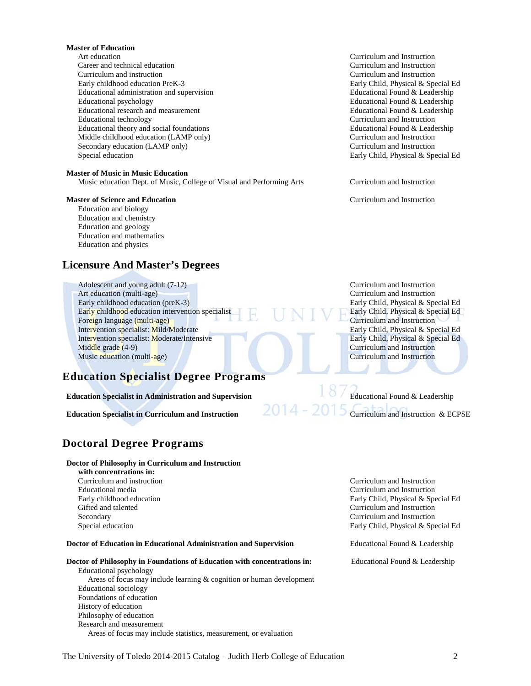#### **Master of Education**

Art education Curriculum and Instruction Career and technical education Curriculum and Instruction Curriculum and instruction Curriculum and Instruction Early childhood education PreK-3 Early Child, Physical & Special Educational administration and supervision<br>
Educational Round & Leadership Educational administration and supervision<br>Educational psychology Educational research and measurement<br>
Educational Educational Found & Leadership<br>
Educational technology<br>
Curriculum and Instruction Educational theory and social foundations Educational Found & Leadership Middle childhood education (LAMP only) Secondary education (LAMP only) Curriculum and Instruction Special education Early Child, Physical & Special Ed

#### **Master of Music in Music Education**

Music education Dept. of Music, College of Visual and Performing Arts Curriculum and Instruction

#### **Master of Science and Education Curriculum and Instruction Curriculum and Instruction**

Education and biology Education and chemistry Education and geology Education and mathematics Education and physics

## **Licensure And Master's Degrees**

Adolescent and young adult (7-12) Curriculum and Instruction Art education (multi-age) **Curriculum and Instruction** Early childhood education (preK-3) Early Child, Physical & Special Ed Early childhood education intervention specialist<br>Foreign language (multi-age) Curriculum and Instruction Foreign language (multi-age)<br>Intervention specialist: Mild/Moderate Early Child, Physical & Special Ed Intervention specialist: Mild/Moderate Early Child, Physical & Special Ed<br>Intervention specialist: Moderate/Intensive Early Child, Physical & Special Ed Intervention specialist: Moderate/Intensive Middle grade (4-9) **Curriculum and Instruction** Music education (multi-age) and instruction control of the Curriculum and Instruction control of the Curriculum and Instruction

## **Education Specialist Degree Programs**

## **Education Specialist in Administration and Supervision** Educational Found & Leadership

## **Doctoral Degree Programs**

#### **Doctor of Philosophy in Curriculum and Instruction**

 **with concentrations in:** Educational media Curriculum and Instruction Gifted and talented Curriculum and Instruction Secondary Curriculum and Instruction

**Doctor of Education in Educational Administration and Supervision** Educational Found & Leadership

## **Doctor of Philosophy in Foundations of Education with concentrations in:** Educational Found & Leadership

Educational psychology Areas of focus may include learning & cognition or human development Educational sociology Foundations of education History of education Philosophy of education Research and measurement Areas of focus may include statistics, measurement, or evaluation

Educational Found & Leadership Curriculum and Instruction<br>Educational Found & Leadership

**Education Specialist in Curriculum and Instruction** 2014 – 2015 Curriculum and Instruction & ECPSE

Curriculum and instruction Curriculum and Instruction Early childhood education Early Child, Physical & Special Ed Special education Early Child, Physical & Special Ed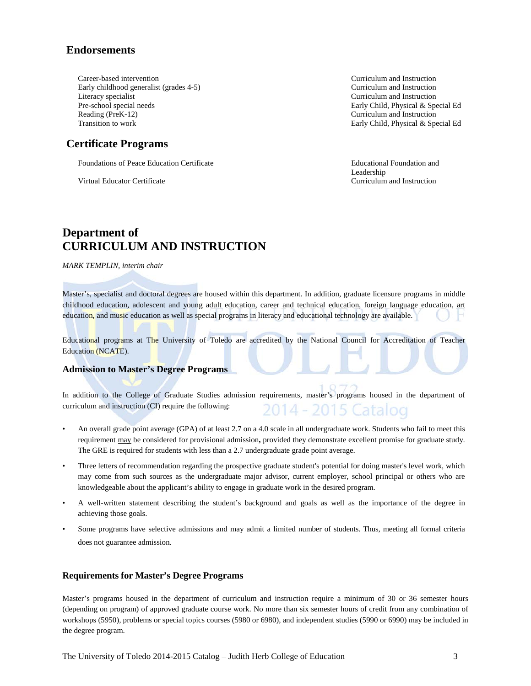## **Endorsements**

Career-based intervention Curriculum and Instruction Early childhood generalist (grades 4-5) Curriculum and Instruction Literacy specialist Curriculum and Instruction Pre-school special needs<br>
Reading (PreK-12)<br>
Curriculum and Instruction

## **Certificate Programs**

Foundations of Peace Education Certificate **Education 2 Educational Foundation and** 

Virtual Educator Certificate Curriculum and Instruction

Curriculum and Instruction Transition to work Early Child, Physical & Special Ed

Leadership

## **Department of CURRICULUM AND INSTRUCTION**

*MARK TEMPLIN, interim chair*

Master's, specialist and doctoral degrees are housed within this department. In addition, graduate licensure programs in middle childhood education, adolescent and young adult education, career and technical education, foreign language education, art education, and music education as well as special programs in literacy and educational technology are available.

Educational programs at The University of Toledo are accredited by the National Council for Accreditation of Teacher Education (NCATE).

## **Admission to Master's Degree Programs**

In addition to the College of Graduate Studies admission requirements, master's programs housed in the department of curriculum and instruction (CI) require the following: 2014 - 2015 Catalog

- An overall grade point average (GPA) of at least 2.7 on a 4.0 scale in all undergraduate work. Students who fail to meet this requirement may be considered for provisional admission**,** provided they demonstrate excellent promise for graduate study. The GRE is required for students with less than a 2.7 undergraduate grade point average.
- Three letters of recommendation regarding the prospective graduate student's potential for doing master's level work, which may come from such sources as the undergraduate major advisor, current employer, school principal or others who are knowledgeable about the applicant's ability to engage in graduate work in the desired program.
- A well-written statement describing the student's background and goals as well as the importance of the degree in achieving those goals.
- Some programs have selective admissions and may admit a limited number of students. Thus, meeting all formal criteria does not guarantee admission.

## **Requirements for Master's Degree Programs**

Master's programs housed in the department of curriculum and instruction require a minimum of 30 or 36 semester hours (depending on program) of approved graduate course work. No more than six semester hours of credit from any combination of workshops (5950), problems or special topics courses (5980 or 6980), and independent studies (5990 or 6990) may be included in the degree program.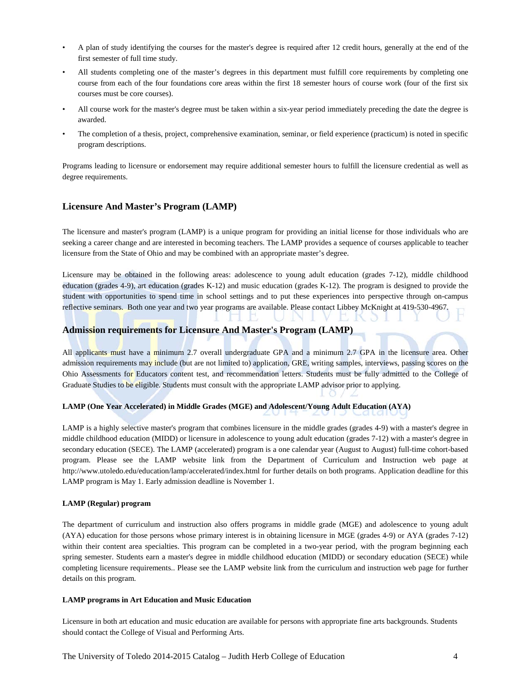- A plan of study identifying the courses for the master's degree is required after 12 credit hours, generally at the end of the first semester of full time study.
- All students completing one of the master's degrees in this department must fulfill core requirements by completing one course from each of the four foundations core areas within the first 18 semester hours of course work (four of the first six courses must be core courses).
- All course work for the master's degree must be taken within a six-year period immediately preceding the date the degree is awarded.
- The completion of a thesis, project, comprehensive examination, seminar, or field experience (practicum) is noted in specific program descriptions.

Programs leading to licensure or endorsement may require additional semester hours to fulfill the licensure credential as well as degree requirements.

## **Licensure And Master's Program (LAMP)**

The licensure and master's program (LAMP) is a unique program for providing an initial license for those individuals who are seeking a career change and are interested in becoming teachers. The LAMP provides a sequence of courses applicable to teacher licensure from the State of Ohio and may be combined with an appropriate master's degree.

Licensure may be obtained in the following areas: adolescence to young adult education (grades 7-12), middle childhood education (grades 4-9), art education (grades K-12) and music education (grades K-12). The program is designed to provide the student with opportunities to spend time in school settings and to put these experiences into perspective through on-campus reflective seminars. Both one year and two year programs are available. Please contact Libbey McKnight at 419-530-4967.

#### **Admission requirements for Licensure And Master's Program (LAMP)**

All applicants must have a minimum 2.7 overall undergraduate GPA and a minimum 2.7 GPA in the licensure area. Other admission requirements may include (but are not limited to) application, GRE, writing samples, interviews, passing scores on the Ohio Assessments for Educators content test, and recommendation letters. Students must be fully admitted to the College of Graduate Studies to be eligible. Students must consult with the appropriate LAMP advisor prior to applying.

#### **LAMP (One Year Accelerated) in Middle Grades (MGE) and Adolescent/Young Adult Education (AYA)**

LAMP is a highly selective master's program that combines licensure in the middle grades (grades 4-9) with a master's degree in middle childhood education (MIDD) or licensure in adolescence to young adult education (grades 7-12) with a master's degree in secondary education (SECE). The LAMP (accelerated) program is a one calendar year (August to August) full-time cohort-based program. Please see the LAMP website link from the Department of Curriculum and Instruction web page at <http://www.utoledo.edu/education/lamp/accelerated/index.html> for further details on both programs. Application deadline for this LAMP program is May 1. Early admission deadline is November 1.

#### **LAMP (Regular) program**

The department of curriculum and instruction also offers programs in middle grade (MGE) and adolescence to young adult (AYA) education for those persons whose primary interest is in obtaining licensure in MGE (grades 4-9) or AYA (grades 7-12) within their content area specialties. This program can be completed in a two-year period, with the program beginning each spring semester. Students earn a master's degree in middle childhood education (MIDD) or secondary education (SECE) while completing licensure requirements.. Please see the LAMP website link from the curriculum and instruction web page for further details on this program.

#### **LAMP programs in Art Education and Music Education**

Licensure in both art education and music education are available for persons with appropriate fine arts backgrounds. Students should contact the College of Visual and Performing Arts.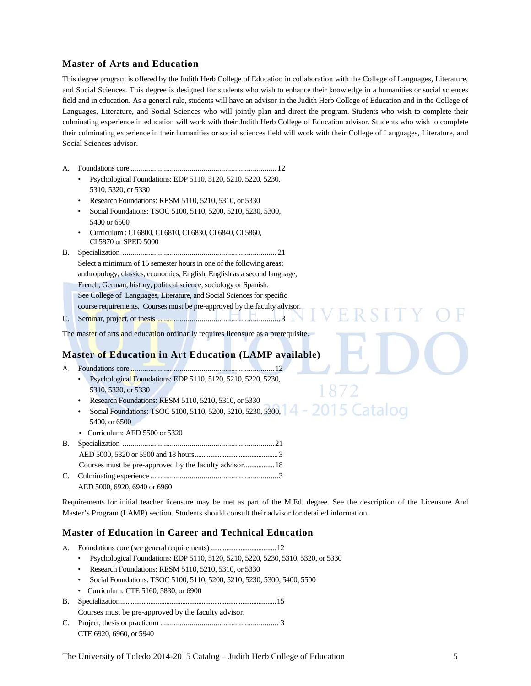## **Master of Arts and Education**

This degree program is offered by the Judith Herb College of Education in collaboration with the College of Languages, Literature, and Social Sciences. This degree is designed for students who wish to enhance their knowledge in a humanities or social sciences field and in education. As a general rule, students will have an advisor in the Judith Herb College of Education and in the College of Languages, Literature, and Social Sciences who will jointly plan and direct the program. Students who wish to complete their culminating experience in education will work with their Judith Herb College of Education advisor. Students who wish to complete their culminating experience in their humanities or social sciences field will work with their College of Languages, Literature, and Social Sciences advisor.

- A. Foundations core ..........................................................................12
	- Psychological Foundations: EDP 5110, 5120, 5210, 5220, 5230, 5310, 5320, or 5330
	- Research Foundations: RESM 5110, 5210, 5310, or 5330
	- Social Foundations: TSOC 5100, 5110, 5200, 5210, 5230, 5300, 5400 or 6500
	- Curriculum : CI 6800, CI 6810, CI 6830, CI 6840, CI 5860, CI 5870 or SPED 5000
- B. Specialization .............................................................................. 21 Select a minimum of 15 semester hours in one of the following areas: anthropology, classics, economics, English, English as a second language, French, German, history, political science, sociology or Spanish. See College of Languages, Literature, and Social Sciences for specific course requirements. Courses must be pre-approved by the faculty advisor. C. Seminar, project, or thesis .............................................................. 3

The master of arts and education ordinarily requires licensure as a prerequisite.

## **Master of Education in Art Education (LAMP available)**

- A. Foundations core .........................................................................12
	- Psychological Foundations: EDP 5110, 5120, 5210, 5220, 5230, 5310, 5320, or 5330
	- Research Foundations: RESM 5110, 5210, 5310, or 5330
	- 2015 Catalog • Social Foundations: TSOC 5100, 5110, 5200, 5210, 5230, 5300, 5400, or 6500
	- Curriculum: AED 5500 or 5320
- B. Specialization .............................................................................21 AED 5000, 5320 or 5500 and 18 hours...............................................3 Courses must be pre-approved by the faculty advisor.................18 C. Culminating experience .................................................................3
	- AED 5000, 6920, 6940 or 6960

Requirements for initial teacher licensure may be met as part of the M.Ed. degree. See the description of the Licensure And Master's Program (LAMP) section. Students should consult their advisor for detailed information.

V F R

## **Master of Education in Career and Technical Education**

- A. Foundations core (see general requirements).....................................12
	- Psychological Foundations: EDP 5110, 5120, 5210, 5220, 5230, 5310, 5320, or 5330
	- Research Foundations: RESM 5110, 5210, 5310, or 5330
	- Social Foundations: TSOC 5100, 5110, 5200, 5210, 5230, 5300, 5400, 5500
	- Curriculum: CTE 5160, 5830, or 6900
- B. Specialization........................................................................................15 Courses must be pre-approved by the faculty advisor.
- C. Project, thesis or practicum ............................................................ 3 CTE 6920, 6960, or 5940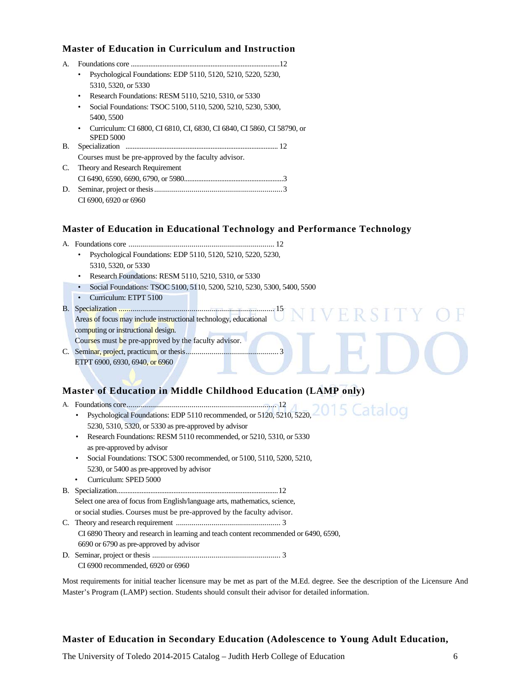## **Master of Education in Curriculum and Instruction**

| $\mathbf{A}$ |                                                                                            |  |  |  |  |  |  |  |  |
|--------------|--------------------------------------------------------------------------------------------|--|--|--|--|--|--|--|--|
|              | Psychological Foundations: EDP 5110, 5120, 5210, 5220, 5230,<br>$\bullet$                  |  |  |  |  |  |  |  |  |
|              | 5310, 5320, or 5330                                                                        |  |  |  |  |  |  |  |  |
|              | Research Foundations: RESM 5110, 5210, 5310, or 5330<br>٠                                  |  |  |  |  |  |  |  |  |
|              | Social Foundations: TSOC 5100, 5110, 5200, 5210, 5230, 5300,<br>٠                          |  |  |  |  |  |  |  |  |
|              | 5400, 5500                                                                                 |  |  |  |  |  |  |  |  |
|              | Curriculum: CI 6800, CI 6810, CI, 6830, CI 6840, CI 5860, CI 58790, or<br><b>SPED 5000</b> |  |  |  |  |  |  |  |  |
| В.           | Specialization                                                                             |  |  |  |  |  |  |  |  |
|              | Courses must be pre-approved by the faculty advisor.                                       |  |  |  |  |  |  |  |  |
| C.           | Theory and Research Requirement                                                            |  |  |  |  |  |  |  |  |
|              |                                                                                            |  |  |  |  |  |  |  |  |
| D.           |                                                                                            |  |  |  |  |  |  |  |  |
|              | CI 6900, 6920 or 6960                                                                      |  |  |  |  |  |  |  |  |
|              |                                                                                            |  |  |  |  |  |  |  |  |

## **Master of Education in Educational Technology and Performance Technology**

VERSI

- A. Foundations core .......................................................................... 12
	- Psychological Foundations: EDP 5110, 5120, 5210, 5220, 5230, 5310, 5320, or 5330
	- Research Foundations: RESM 5110, 5210, 5310, or 5330
	- Social Foundations: TSOC 5100, 5110, 5200, 5210, 5230, 5300, 5400, 5500
	- Curriculum: ETPT 5100
- B. Specialization ............................................................................... 15

Areas of focus may include instructional technology, educational computing or instructional design.

Courses must be pre-approved by the faculty advisor.

C. Seminar, project, practicum, or thesis............................................... 3

ETPT 6900, 6930, 6940, or 6960

## **Master of Education in Middle Childhood Education (LAMP only)**

- A. Foundations core............................................................................ 12 • Psychological Foundations: EDP 5110 recommended, or 5120, 5210, 5220, 5230, 5310, 5320, or 5330 as pre-approved by advisor • Research Foundations: RESM 5110 recommended, or 5210, 5310, or 5330
	- as pre-approved by advisor
	- Social Foundations: TSOC 5300 recommended, or 5100, 5110, 5200, 5210, 5230, or 5400 as pre-approved by advisor
	- Curriculum: SPED 5000

B. Specialization...........................................................................................12 Select one area of focus from English/language arts, mathematics, science,

or social studies. Courses must be pre-approved by the faculty advisor. C. Theory and research requirement ..................................................... 3 CI 6890 Theory and research in learning and teach content recommended or 6490, 6590, 6690 or 6790 as pre-approved by advisor D. Seminar, project or thesis ................................................................. 3

CI 6900 recommended, 6920 or 6960

Most requirements for initial teacher licensure may be met as part of the M.Ed. degree. See the description of the Licensure And Master's Program (LAMP) section. Students should consult their advisor for detailed information.

## **Master of Education in Secondary Education (Adolescence to Young Adult Education,**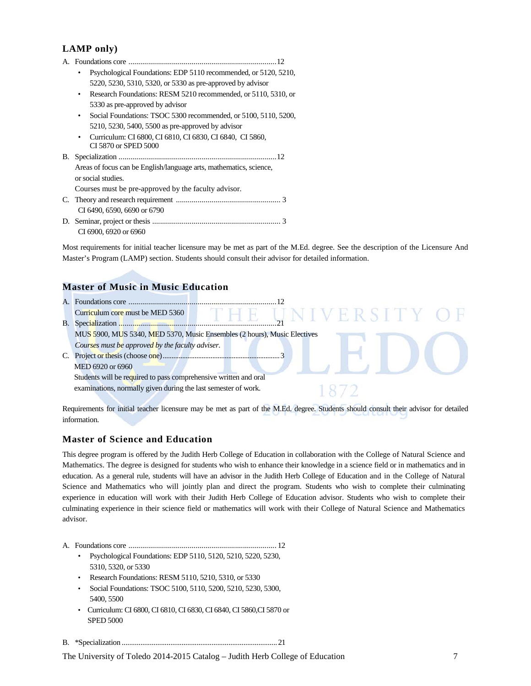## **LAMP only)**

- A. Foundations core ...........................................................................12 • Psychological Foundations: EDP 5110 recommended, or 5120, 5210, 5220, 5230, 5310, 5320, or 5330 as pre-approved by advisor • Research Foundations: RESM 5210 recommended, or 5110, 5310, or 5330 as pre-approved by advisor
	- Social Foundations: TSOC 5300 recommended, or 5100, 5110, 5200, 5210, 5230, 5400, 5500 as pre-approved by advisor
- Curriculum: CI 6800, CI 6810, CI 6830, CI 6840, CI 5860, CI 5870 or SPED 5000 B. Specialization ................................................................................12
	- Areas of focus can be English/language arts, mathematics, science, or social studies.
	- Courses must be pre-approved by the faculty advisor.
- C. Theory and research requirement ..................................................... 3 CI 6490, 6590, 6690 or 6790 D. Seminar, project or thesis ................................................................. 3 CI 6900, 6920 or 6960

Most requirements for initial teacher licensure may be met as part of the M.Ed. degree. See the description of the Licensure And Master's Program (LAMP) section. Students should consult their advisor for detailed information.

## **Master of Music in Music Education**



Requirements for initial teacher licensure may be met as part of the M.Ed. degree. Students should consult their advisor for detailed information.

## **Master of Science and Education**

This degree program is offered by the Judith Herb College of Education in collaboration with the College of Natural Science and Mathematics. The degree is designed for students who wish to enhance their knowledge in a science field or in mathematics and in education. As a general rule, students will have an advisor in the Judith Herb College of Education and in the College of Natural Science and Mathematics who will jointly plan and direct the program. Students who wish to complete their culminating experience in education will work with their Judith Herb College of Education advisor. Students who wish to complete their culminating experience in their science field or mathematics will work with their College of Natural Science and Mathematics advisor.

A. Foundations core ........................................................................... 12

- Psychological Foundations: EDP 5110, 5120, 5210, 5220, 5230, 5310, 5320, or 5330
- Research Foundations: RESM 5110, 5210, 5310, or 5330
- Social Foundations: TSOC 5100, 5110, 5200, 5210, 5230, 5300, 5400, 5500
- Curriculum: CI 6800, CI 6810, CI 6830, CI 6840, CI 5860,CI 5870 or SPED 5000

B. \*Specialization ...................................................................................21

The University of Toledo 2014-2015 Catalog – Judith Herb College of Education 7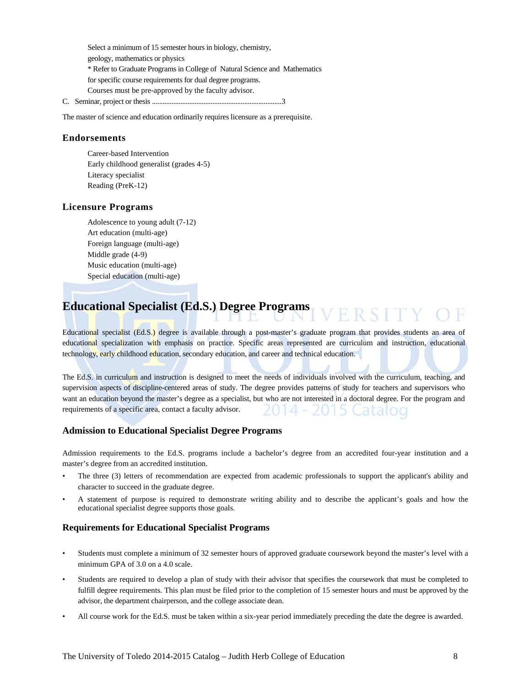Select a minimum of 15 semester hours in biology, chemistry, geology, mathematics or physics \* Refer to Graduate Programs in College of Natural Science and Mathematics for specific course requirements for dual degree programs. Courses must be pre-approved by the faculty advisor. C. Seminar, project or thesis .........................................................................3

The master of science and education ordinarily requires licensure as a prerequisite.

## **Endorsements**

Career-based Intervention Early childhood generalist (grades 4-5) Literacy specialist Reading (PreK-12)

#### **Licensure Programs**

Adolescence to young adult (7-12) Art education (multi-age) Foreign language (multi-age) Middle grade (4-9) Music education (multi-age) Special education (multi-age)

#### **Educational Specialist (Ed.S.) Degree Programs** / F R S I T

Educational specialist (Ed.S.) degree is available through a post-master's graduate program that provides students an area of educational specialization with emphasis on practice. Specific areas represented are curriculum and instruction, educational technology, early childhood education, secondary education, and career and technical education.

The Ed.S. in curriculum and instruction is designed to meet the needs of individuals involved with the curriculum, teaching, and supervision aspects of discipline-centered areas of study. The degree provides patterns of study for teachers and supervisors who want an education beyond the master's degree as a specialist, but who are not interested in a doctoral degree. For the program and requirements of a specific area, contact a faculty advisor. 14 - 2015 Catalog

## **Admission to Educational Specialist Degree Programs**

Admission requirements to the Ed.S. programs include a bachelor's degree from an accredited four-year institution and a master's degree from an accredited institution.

- The three (3) letters of recommendation are expected from academic professionals to support the applicant's ability and character to succeed in the graduate degree.
- A statement of purpose is required to demonstrate writing ability and to describe the applicant's goals and how the educational specialist degree supports those goals.

#### **Requirements for Educational Specialist Programs**

- Students must complete a minimum of 32 semester hours of approved graduate coursework beyond the master's level with a minimum GPA of 3.0 on a 4.0 scale.
- Students are required to develop a plan of study with their advisor that specifies the coursework that must be completed to fulfill degree requirements. This plan must be filed prior to the completion of 15 semester hours and must be approved by the advisor, the department chairperson, and the college associate dean.
- All course work for the Ed.S. must be taken within a six-year period immediately preceding the date the degree is awarded.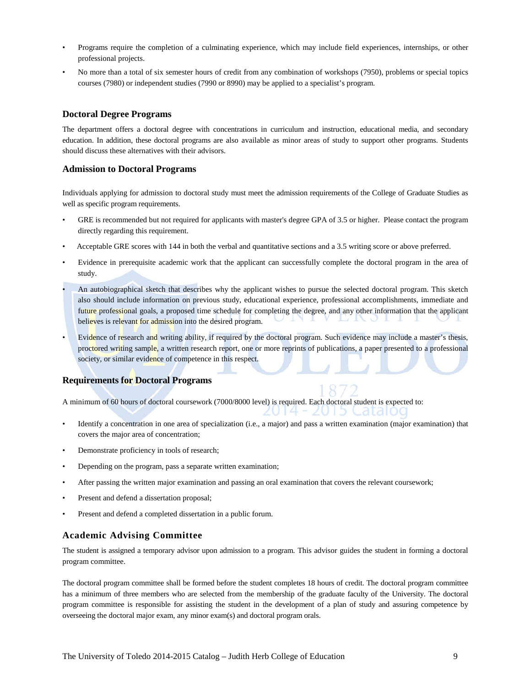- Programs require the completion of a culminating experience, which may include field experiences, internships, or other professional projects.
- No more than a total of six semester hours of credit from any combination of workshops (7950), problems or special topics courses (7980) or independent studies (7990 or 8990) may be applied to a specialist's program.

### **Doctoral Degree Programs**

The department offers a doctoral degree with concentrations in curriculum and instruction, educational media, and secondary education. In addition, these doctoral programs are also available as minor areas of study to support other programs. Students should discuss these alternatives with their advisors.

#### **Admission to Doctoral Programs**

Individuals applying for admission to doctoral study must meet the admission requirements of the College of Graduate Studies as well as specific program requirements.

- GRE is recommended but not required for applicants with master's degree GPA of 3.5 or higher. Please contact the program directly regarding this requirement.
- Acceptable GRE scores with 144 in both the verbal and quantitative sections and a 3.5 writing score or above preferred.
- Evidence in prerequisite academic work that the applicant can successfully complete the doctoral program in the area of study.
- An autobiographical sketch that describes why the applicant wishes to pursue the selected doctoral program. This sketch also should include information on previous study, educational experience, professional accomplishments, immediate and future professional goals, a proposed time schedule for completing the degree, and any other information that the applicant believes is relevant for admission into the desired program.
- Evidence of research and writing ability, if required by the doctoral program. Such evidence may include a master's thesis, proctored writing sample, a written research report, one or more reprints of publications, a paper presented to a professional society, or similar evidence of competence in this respect.

#### **Requirements for Doctoral Programs**

A minimum of 60 hours of doctoral coursework (7000/8000 level) is required. Each doctoral student is expected to:

- Identify a concentration in one area of specialization (i.e., a major) and pass a written examination (major examination) that covers the major area of concentration;
- Demonstrate proficiency in tools of research;
- Depending on the program, pass a separate written examination;
- After passing the written major examination and passing an oral examination that covers the relevant coursework;
- Present and defend a dissertation proposal;
- Present and defend a completed dissertation in a public forum.

## **Academic Advising Committee**

The student is assigned a temporary advisor upon admission to a program. This advisor guides the student in forming a doctoral program committee.

The doctoral program committee shall be formed before the student completes 18 hours of credit. The doctoral program committee has a minimum of three members who are selected from the membership of the graduate faculty of the University. The doctoral program committee is responsible for assisting the student in the development of a plan of study and assuring competence by overseeing the doctoral major exam, any minor exam(s) and doctoral program orals.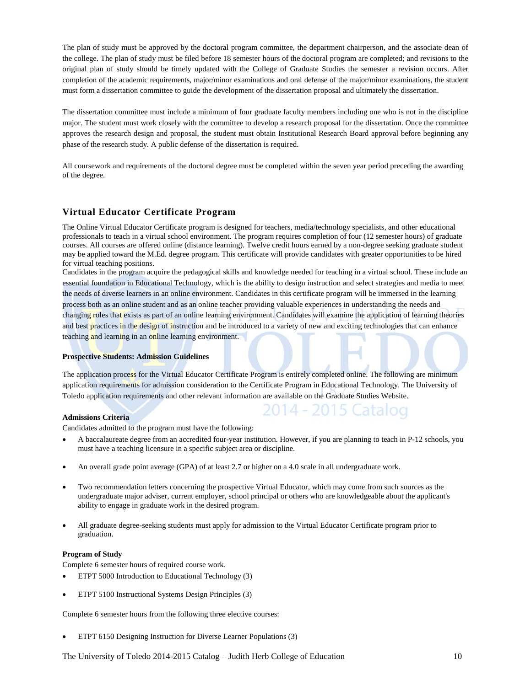The plan of study must be approved by the doctoral program committee, the department chairperson, and the associate dean of the college. The plan of study must be filed before 18 semester hours of the doctoral program are completed; and revisions to the original plan of study should be timely updated with the College of Graduate Studies the semester a revision occurs. After completion of the academic requirements, major/minor examinations and oral defense of the major/minor examinations, the student must form a dissertation committee to guide the development of the dissertation proposal and ultimately the dissertation.

The dissertation committee must include a minimum of four graduate faculty members including one who is not in the discipline major. The student must work closely with the committee to develop a research proposal for the dissertation. Once the committee approves the research design and proposal, the student must obtain Institutional Research Board approval before beginning any phase of the research study. A public defense of the dissertation is required.

All coursework and requirements of the doctoral degree must be completed within the seven year period preceding the awarding of the degree.

## **Virtual Educator Certificate Program**

The Online Virtual Educator Certificate program is designed for teachers, media/technology specialists, and other educational professionals to teach in a virtual school environment. The program requires completion of four (12 semester hours) of graduate courses. All courses are offered online (distance learning). Twelve credit hours earned by a non-degree seeking graduate student may be applied toward the M.Ed. degree program. This certificate will provide candidates with greater opportunities to be hired for virtual teaching positions.

Candidates in the program acquire the pedagogical skills and knowledge needed for teaching in a virtual school. These include an essential foundation in Educational Technology, which is the ability to design instruction and select strategies and media to meet the needs of diverse learners in an online environment. Candidates in this certificate program will be immersed in the learning process both as an online student and as an online teacher providing valuable experiences in understanding the needs and changing roles that exists as part of an online learning environment. Candidates will examine the application of learning theories and best practices in the design of instruction and be introduced to a variety of new and exciting technologies that can enhance teaching and learning in an online learning environment.

#### **Prospective Students: Admission Guidelines**

The application process for the Virtual Educator Certificate Program is entirely completed online. The following are minimum application requirements for admission consideration to the Certificate Program in Educational Technology. The University of Toledo application requirements and other relevant information are available on the Graduate Studies Website.

#### **Admissions Criteria**

Candidates admitted to the program must have the following:

• A baccalaureate degree from an accredited four-year institution. However, if you are planning to teach in P-12 schools, you must have a teaching licensure in a specific subject area or discipline.

2014 - 2015 Catalog

- An overall grade point average (GPA) of at least 2.7 or higher on a 4.0 scale in all undergraduate work.
- Two recommendation letters concerning the prospective Virtual Educator, which may come from such sources as the undergraduate major adviser, current employer, school principal or others who are knowledgeable about the applicant's ability to engage in graduate work in the desired program.
- All graduate degree-seeking students must apply for admission to the Virtual Educator Certificate program prior to graduation.

#### **Program of Study**

Complete 6 semester hours of required course work.

- ETPT 5000 Introduction to Educational Technology (3)
- ETPT 5100 Instructional Systems Design Principles (3)

Complete 6 semester hours from the following three elective courses:

• ETPT 6150 Designing Instruction for Diverse Learner Populations (3)

The University of Toledo 2014-2015 Catalog – Judith Herb College of Education 10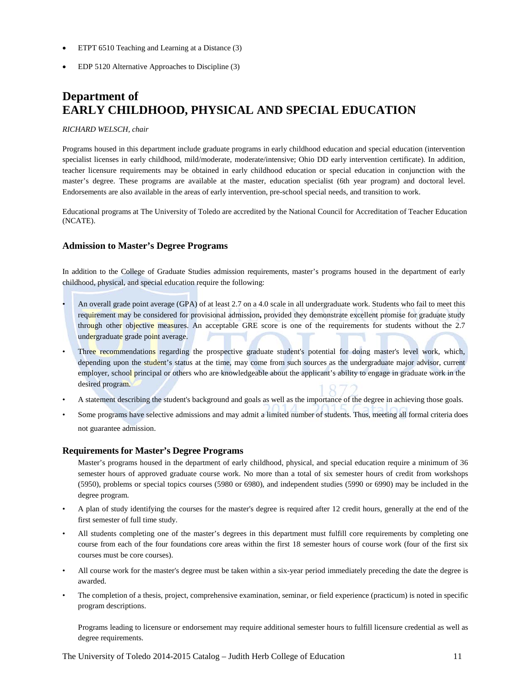- ETPT 6510 Teaching and Learning at a Distance (3)
- EDP 5120 Alternative Approaches to Discipline (3)

## **Department of EARLY CHILDHOOD, PHYSICAL AND SPECIAL EDUCATION**

#### *RICHARD WELSCH, chair*

Programs housed in this department include graduate programs in early childhood education and special education (intervention specialist licenses in early childhood, mild/moderate, moderate/intensive; Ohio DD early intervention certificate). In addition, teacher licensure requirements may be obtained in early childhood education or special education in conjunction with the master's degree. These programs are available at the master, education specialist (6th year program) and doctoral level. Endorsements are also available in the areas of early intervention, pre-school special needs, and transition to work.

Educational programs at The University of Toledo are accredited by the National Council for Accreditation of Teacher Education (NCATE).

#### **Admission to Master's Degree Programs**

In addition to the College of Graduate Studies admission requirements, master's programs housed in the department of early childhood, physical, and special education require the following:

- An overall grade point average (GPA) of at least 2.7 on a 4.0 scale in all undergraduate work. Students who fail to meet this requirement may be considered for provisional admission**,** provided they demonstrate excellent promise for graduate study through other objective measures. An acceptable GRE score is one of the requirements for students without the 2.7 undergraduate grade point average.
- Three recommendations regarding the prospective graduate student's potential for doing master's level work, which, depending upon the student's status at the time, may come from such sources as the undergraduate major advisor, current employer, school principal or others who are knowledgeable about the applicant's ability to engage in graduate work in the desired program.
- A statement describing the student's background and goals as well as the importance of the degree in achieving those goals.
- Some programs have selective admissions and may admit a limited number of students. Thus, meeting all formal criteria does not guarantee admission.

## **Requirements for Master's Degree Programs**

Master's programs housed in the department of early childhood, physical, and special education require a minimum of 36 semester hours of approved graduate course work. No more than a total of six semester hours of credit from workshops (5950), problems or special topics courses (5980 or 6980), and independent studies (5990 or 6990) may be included in the degree program.

- A plan of study identifying the courses for the master's degree is required after 12 credit hours, generally at the end of the first semester of full time study.
- All students completing one of the master's degrees in this department must fulfill core requirements by completing one course from each of the four foundations core areas within the first 18 semester hours of course work (four of the first six courses must be core courses).
- All course work for the master's degree must be taken within a six-year period immediately preceding the date the degree is awarded.
- The completion of a thesis, project, comprehensive examination, seminar, or field experience (practicum) is noted in specific program descriptions.

Programs leading to licensure or endorsement may require additional semester hours to fulfill licensure credential as well as degree requirements.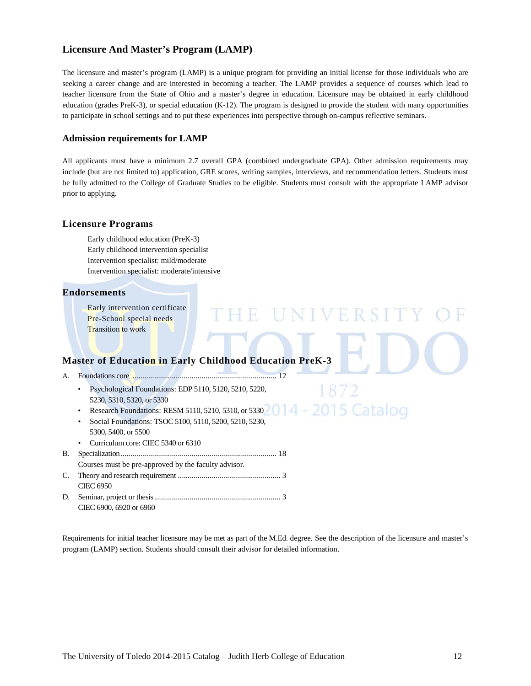## **Licensure And Master's Program (LAMP)**

The licensure and master's program (LAMP) is a unique program for providing an initial license for those individuals who are seeking a career change and are interested in becoming a teacher. The LAMP provides a sequence of courses which lead to teacher licensure from the State of Ohio and a master's degree in education. Licensure may be obtained in early childhood education (grades PreK-3), or special education (K-12). The program is designed to provide the student with many opportunities to participate in school settings and to put these experiences into perspective through on-campus reflective seminars.

### **Admission requirements for LAMP**

All applicants must have a minimum 2.7 overall GPA (combined undergraduate GPA). Other admission requirements may include (but are not limited to) application, GRE scores, writing samples, interviews, and recommendation letters. Students must be fully admitted to the College of Graduate Studies to be eligible. Students must consult with the appropriate LAMP advisor prior to applying.

UNIVERSIT

1872

#### **Licensure Programs**

Early childhood education (PreK-3) Early childhood intervention specialist Intervention specialist: mild/moderate Intervention specialist: moderate/intensive

#### **Endorsements**

Early intervention certificate Pre-School special needs Transition to work

## **Master of Education in Early Childhood Education PreK-3**

- A. Foundations core ......................................................................... 12
	- Psychological Foundations: EDP 5110, 5120, 5210, 5220, 5230, 5310, 5320, or 5330
	- 014 2015 Catalog • Research Foundations: RESM 5110, 5210, 5310, or 5330

 $\mathbb{H}$ 

- Social Foundations: TSOC 5100, 5110, 5200, 5210, 5230, 5300, 5400, or 5500
- Curriculum core: CIEC 5340 or 6310
- B. Specialization............................................................................... 18 Courses must be pre-approved by the faculty advisor*.* C. Theory and research requirement .................................................... 3
- CIEC 6950 D. Seminar, project or thesis................................................................ 3 CIEC 6900, 6920 or 6960

Requirements for initial teacher licensure may be met as part of the M.Ed. degree. See the description of the licensure and master's program (LAMP) section. Students should consult their advisor for detailed information.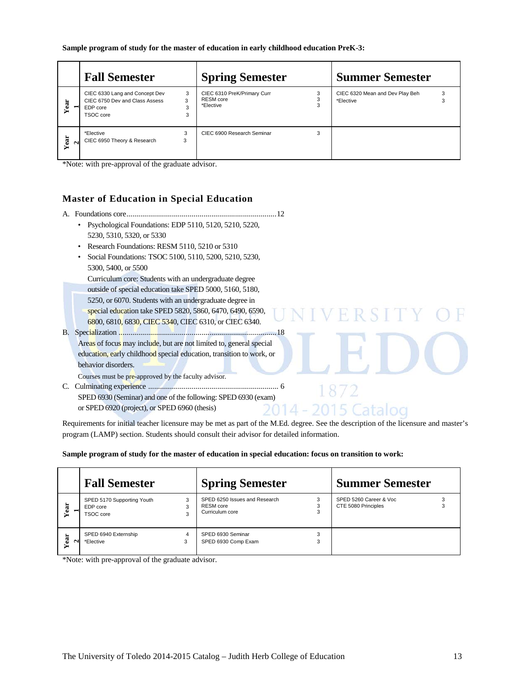|                                  | <b>Fall Semester</b>                                                                      |                  | <b>Spring Semester</b>                                |   | <b>Summer Semester</b>                       |        |
|----------------------------------|-------------------------------------------------------------------------------------------|------------------|-------------------------------------------------------|---|----------------------------------------------|--------|
| Year<br>$\overline{\phantom{a}}$ | CIEC 6330 Lang and Concept Dev<br>CIEC 6750 Dev and Class Assess<br>EDP core<br>TSOC core | 3<br>3<br>3<br>3 | CIEC 6310 PreK/Primary Curr<br>RESM core<br>*Elective |   | CIEC 6320 Mean and Dev Play Beh<br>*Elective | 3<br>3 |
| Year<br>$\sim$                   | *Elective<br>CIEC 6950 Theory & Research                                                  | 3<br>3           | CIEC 6900 Research Seminar                            | 3 |                                              |        |

\*Note: with pre-approval of the graduate advisor.

## **Master of Education in Special Education**

- A. Foundations core............................................................................12
	- Psychological Foundations: EDP 5110, 5120, 5210, 5220, 5230, 5310, 5320, or 5330
	- Research Foundations: RESM 5110, 5210 or 5310
	- Social Foundations: TSOC 5100, 5110, 5200, 5210, 5230, 5300, 5400, or 5500
		- Curriculum core: Students with an undergraduate degree outside of special education take SPED 5000, 5160, 5180, 5250, or 6070. Students with an undergraduate degree in
	- special education take SPED 5820, 5860, 6470, 6490, 6590, 6800, 6810, 6830, CIEC 5340, CIEC 6310, or CIEC 6340.
- B. Specialization ................................................................................18 Areas of focus may include, but are not limited to, general special education, early childhood special education, transition to work, or behavior disorders.

Courses must be pre-approved by the faculty advisor*.*

C. Culminating experience .................................................................. 6 SPED 6930 (Seminar) and one of the following: SPED 6930 (exam) or SPED 6920 (project), or SPED 6960 (thesis)  $14 -$ 

Requirements for initial teacher licensure may be met as part of the M.Ed. degree. See the description of the licensure and master's program (LAMP) section. Students should consult their advisor for detailed information.

FRS

2015 Catalog

#### **Sample program of study for the master of education in special education: focus on transition to work:**

|                               | <b>Fall Semester</b>                                |        | <b>Spring Semester</b>                                             | <b>Summer Semester</b>                        |  |
|-------------------------------|-----------------------------------------------------|--------|--------------------------------------------------------------------|-----------------------------------------------|--|
| Year<br>$\blacksquare$        | SPED 5170 Supporting Youth<br>EDP core<br>TSOC core | 3<br>3 | SPED 6250 Issues and Research<br>RESM core<br>Curriculum core<br>3 | SPED 5260 Career & Voc<br>CTE 5080 Principles |  |
| ā<br>$\sim$<br>$\blacksquare$ | SPED 6940 Externship<br>*Elective                   | 4      | SPED 6930 Seminar<br>SPED 6930 Comp Exam<br>3                      |                                               |  |

\*Note: with pre-approval of the graduate advisor.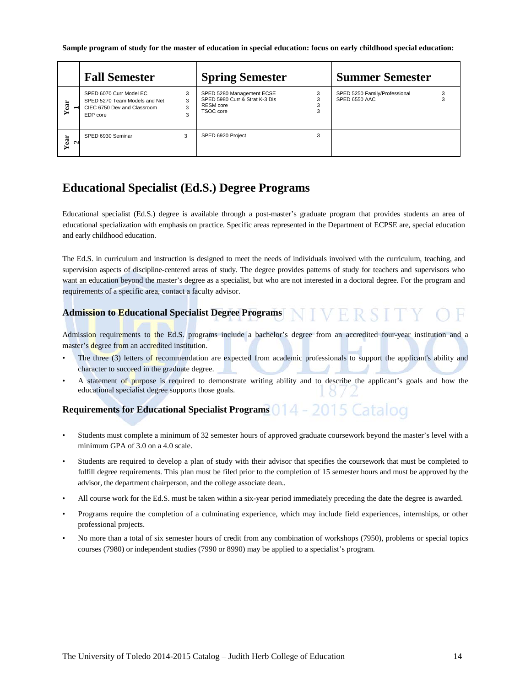**Sample program of study for the master of education in special education: focus on early childhood special education:**

|                | <b>Fall Semester</b>                                                                                |                  | <b>Spring Semester</b>                                                                | <b>Summer Semester</b>                         |  |
|----------------|-----------------------------------------------------------------------------------------------------|------------------|---------------------------------------------------------------------------------------|------------------------------------------------|--|
| Year<br>−      | SPED 6070 Curr Model EC<br>SPED 5270 Team Models and Net<br>CIEC 6750 Dev and Classroom<br>EDP core | 3<br>3<br>3<br>3 | SPED 5280 Management ECSE<br>SPED 5980 Curr & Strat K-3 Dis<br>RESM core<br>TSOC core | SPED 5250 Family/Professional<br>SPED 6550 AAC |  |
| Year<br>$\sim$ | SPED 6930 Seminar                                                                                   | 3                | SPED 6920 Project                                                                     |                                                |  |

## **Educational Specialist (Ed.S.) Degree Programs**

Educational specialist (Ed.S.) degree is available through a post-master's graduate program that provides students an area of educational specialization with emphasis on practice. Specific areas represented in the Department of ECPSE are, special education and early childhood education.

The Ed.S. in curriculum and instruction is designed to meet the needs of individuals involved with the curriculum, teaching, and supervision aspects of discipline-centered areas of study. The degree provides patterns of study for teachers and supervisors who want an education beyond the master's degree as a specialist, but who are not interested in a doctoral degree. For the program and requirements of a specific area, contact a faculty advisor.

#### **NIVERSITY Admission to Educational Specialist Degree Programs**

Admission requirements to the Ed.S. programs include a bachelor's degree from an accredited four-year institution and a master's degree from an accredited institution.

- The three (3) letters of recommendation are expected from academic professionals to support the applicant's ability and character to succeed in the graduate degree.
- A statement of purpose is required to demonstrate writing ability and to describe the applicant's goals and how the educational specialist degree supports those goals.

## **Requirements for Educational Specialist Programs** 014 - 2015 Catalog

- Students must complete a minimum of 32 semester hours of approved graduate coursework beyond the master's level with a minimum GPA of 3.0 on a 4.0 scale.
- Students are required to develop a plan of study with their advisor that specifies the coursework that must be completed to fulfill degree requirements. This plan must be filed prior to the completion of 15 semester hours and must be approved by the advisor, the department chairperson, and the college associate dean..
- All course work for the Ed.S. must be taken within a six-year period immediately preceding the date the degree is awarded.
- Programs require the completion of a culminating experience, which may include field experiences, internships, or other professional projects.
- No more than a total of six semester hours of credit from any combination of workshops (7950), problems or special topics courses (7980) or independent studies (7990 or 8990) may be applied to a specialist's program.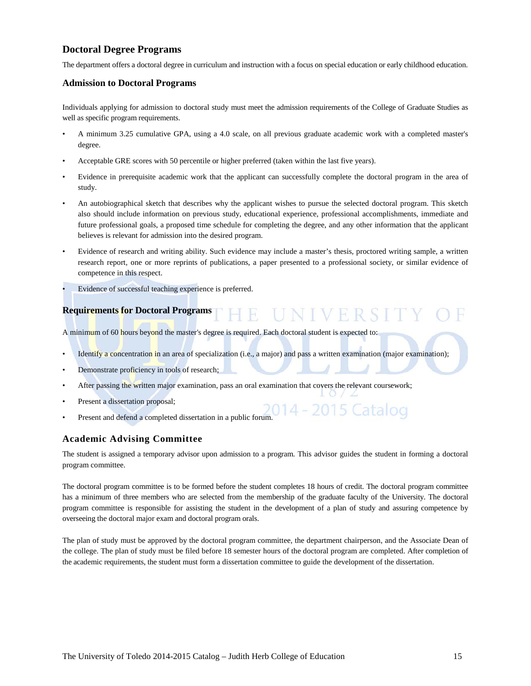## **Doctoral Degree Programs**

The department offers a doctoral degree in curriculum and instruction with a focus on special education or early childhood education.

## **Admission to Doctoral Programs**

Individuals applying for admission to doctoral study must meet the admission requirements of the College of Graduate Studies as well as specific program requirements.

- A minimum 3.25 cumulative GPA, using a 4.0 scale, on all previous graduate academic work with a completed master's degree.
- Acceptable GRE scores with 50 percentile or higher preferred (taken within the last five years).
- Evidence in prerequisite academic work that the applicant can successfully complete the doctoral program in the area of study.
- An autobiographical sketch that describes why the applicant wishes to pursue the selected doctoral program. This sketch also should include information on previous study, educational experience, professional accomplishments, immediate and future professional goals, a proposed time schedule for completing the degree, and any other information that the applicant believes is relevant for admission into the desired program.
- Evidence of research and writing ability. Such evidence may include a master's thesis, proctored writing sample, a written research report, one or more reprints of publications, a paper presented to a professional society, or similar evidence of competence in this respect.
- Evidence of successful teaching experience is preferred.

#### **Requirements for Doctoral Programs** UNIVERSIT Ŧ

A minimum of 60 hours beyond the master's degree is required. Each doctoral student is expected to:

- Identify a concentration in an area of specialization (i.e., a major) and pass a written examination (major examination);
- Demonstrate proficiency in tools of research;
- After passing the written major examination, pass an oral examination that covers the relevant coursework;
- Present a dissertation proposal;
- Present and defend a completed dissertation in a public forum.<br>Present and defend a completed dissertation in a public forum.

## **Academic Advising Committee**

The student is assigned a temporary advisor upon admission to a program. This advisor guides the student in forming a doctoral program committee.

The doctoral program committee is to be formed before the student completes 18 hours of credit. The doctoral program committee has a minimum of three members who are selected from the membership of the graduate faculty of the University. The doctoral program committee is responsible for assisting the student in the development of a plan of study and assuring competence by overseeing the doctoral major exam and doctoral program orals.

The plan of study must be approved by the doctoral program committee, the department chairperson, and the Associate Dean of the college. The plan of study must be filed before 18 semester hours of the doctoral program are completed. After completion of the academic requirements, the student must form a dissertation committee to guide the development of the dissertation.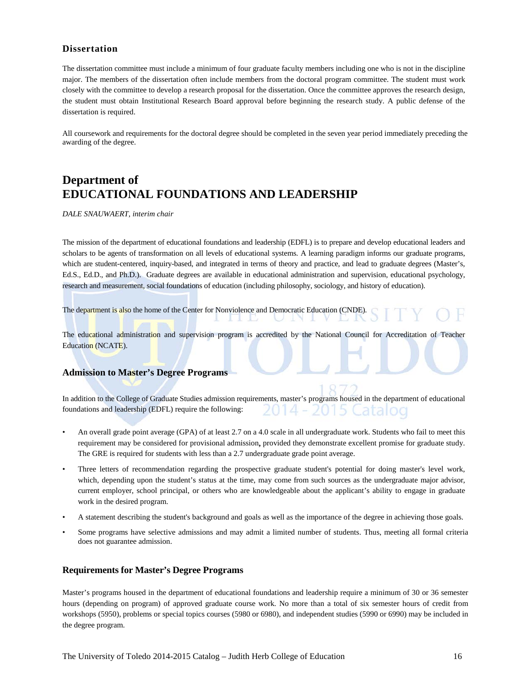## **Dissertation**

The dissertation committee must include a minimum of four graduate faculty members including one who is not in the discipline major. The members of the dissertation often include members from the doctoral program committee. The student must work closely with the committee to develop a research proposal for the dissertation. Once the committee approves the research design, the student must obtain Institutional Research Board approval before beginning the research study. A public defense of the dissertation is required.

All coursework and requirements for the doctoral degree should be completed in the seven year period immediately preceding the awarding of the degree.

## **Department of EDUCATIONAL FOUNDATIONS AND LEADERSHIP**

*DALE SNAUWAERT, interim chair*

The mission of the department of educational foundations and leadership (EDFL) is to prepare and develop educational leaders and scholars to be agents of transformation on all levels of educational systems. A learning paradigm informs our graduate programs, which are student-centered, inquiry-based, and integrated in terms of theory and practice, and lead to graduate degrees (Master's, Ed.S., Ed.D., and Ph.D.). Graduate degrees are available in educational administration and supervision, educational psychology, research and measurement, social foundations of education (including philosophy, sociology, and history of education).

The department is also the home of the Center for Nonviolence and Democratic Education (CNDE).

The educational administration and supervision program is accredited by the National Council for Accreditation of Teacher Education (NCATE).

#### **Admission to Master's Degree Programs**

In addition to the College of Graduate Studies admission requirements, master's programs housed in the department of educational foundations and leadership (EDFL) require the following: 14 5 Cataloo

- An overall grade point average (GPA) of at least 2.7 on a 4.0 scale in all undergraduate work. Students who fail to meet this requirement may be considered for provisional admission**,** provided they demonstrate excellent promise for graduate study. The GRE is required for students with less than a 2.7 undergraduate grade point average.
- Three letters of recommendation regarding the prospective graduate student's potential for doing master's level work, which, depending upon the student's status at the time, may come from such sources as the undergraduate major advisor, current employer, school principal, or others who are knowledgeable about the applicant's ability to engage in graduate work in the desired program.
- A statement describing the student's background and goals as well as the importance of the degree in achieving those goals.
- Some programs have selective admissions and may admit a limited number of students. Thus, meeting all formal criteria does not guarantee admission.

#### **Requirements for Master's Degree Programs**

Master's programs housed in the department of educational foundations and leadership require a minimum of 30 or 36 semester hours (depending on program) of approved graduate course work. No more than a total of six semester hours of credit from workshops (5950), problems or special topics courses (5980 or 6980), and independent studies (5990 or 6990) may be included in the degree program.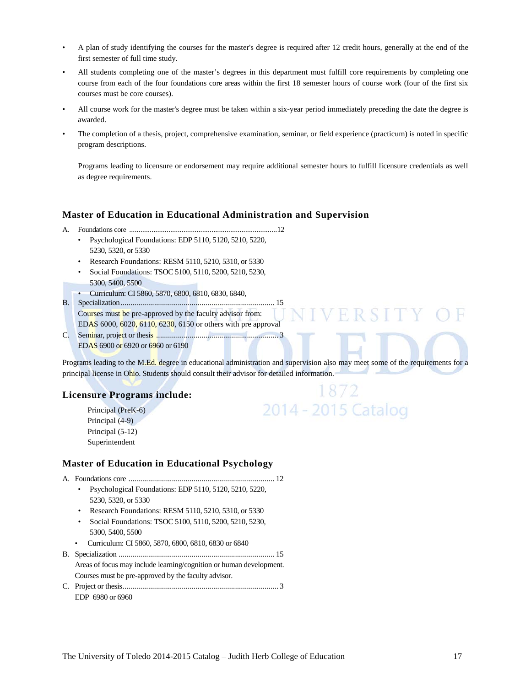- A plan of study identifying the courses for the master's degree is required after 12 credit hours, generally at the end of the first semester of full time study.
- All students completing one of the master's degrees in this department must fulfill core requirements by completing one course from each of the four foundations core areas within the first 18 semester hours of course work (four of the first six courses must be core courses).
- All course work for the master's degree must be taken within a six-year period immediately preceding the date the degree is awarded.
- The completion of a thesis, project, comprehensive examination, seminar, or field experience (practicum) is noted in specific program descriptions.

Programs leading to licensure or endorsement may require additional semester hours to fulfill licensure credentials as well as degree requirements.

#### **Master of Education in Educational Administration and Supervision**

- A. Foundations core ...............................................................................12
	- Psychological Foundations: EDP 5110, 5120, 5210, 5220, 5230, 5320, or 5330
	- Research Foundations: RESM 5110, 5210, 5310, or 5330
	- Social Foundations: TSOC 5100, 5110, 5200, 5210, 5230, 5300, 5400, 5500
	- Curriculum: CI 5860, 5870, 6800, 6810, 6830, 6840,
- B. Specialization.............................................................................. 15 Courses must be pre-approved by the faculty advisor from: EDAS 6000, 6020, 6110, 6230, 6150 or others with pre approval
- C. Seminar, project or thesis .............................................................. 3 EDAS 6900 or 6920 or 6960 or 6190

Programs leading to the M.Ed. degree in educational administration and supervision also may meet some of the requirements for a principal license in Ohio. Students should consult their advisor for detailed information.

## **Licensure Programs include:**

Principal (PreK-6) Principal (4-9) Principal (5-12) Superintendent

## 1872 2014 - 2015 Catalog

VERSITY

## **Master of Education in Educational Psychology**

- A. Foundations core .......................................................................... 12
	- Psychological Foundations: EDP 5110, 5120, 5210, 5220, 5230, 5320, or 5330
	- Research Foundations: RESM 5110, 5210, 5310, or 5330
	- Social Foundations: TSOC 5100, 5110, 5200, 5210, 5230, 5300, 5400, 5500
	- Curriculum: CI 5860, 5870, 6800, 6810, 6830 or 6840
- B. Specialization ............................................................................... 15 Areas of focus may include learning/cognition or human development. Courses must be pre-approved by the faculty advisor.
- C. Project or thesis............................................................................... 3 EDP 6980 or 6960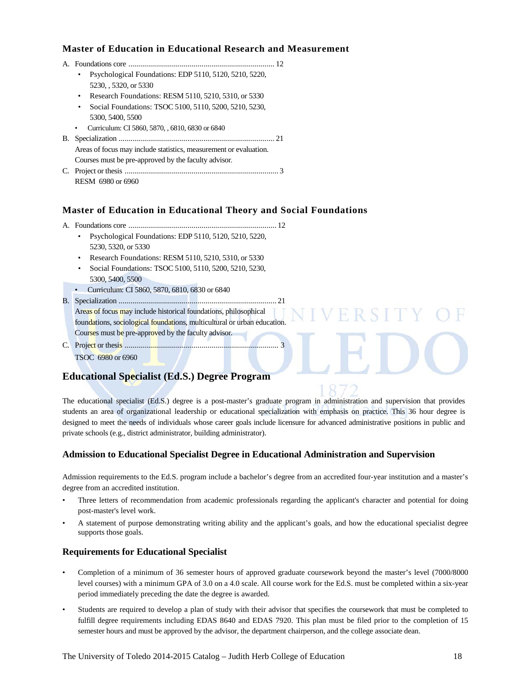## **Master of Education in Educational Research and Measurement**

A. Foundations core .......................................................................... 12 • Psychological Foundations: EDP 5110, 5120, 5210, 5220, 5230, , 5320, or 5330 • Research Foundations: RESM 5110, 5210, 5310, or 5330 • Social Foundations: TSOC 5100, 5110, 5200, 5210, 5230, 5300, 5400, 5500 • Curriculum: CI 5860, 5870, , 6810, 6830 or 6840 B. Specialization ............................................................................... 21 Areas of focus may include statistics, measurement or evaluation. Courses must be pre-approved by the faculty advisor*.* C. Project or thesis .............................................................................. 3 RESM 6980 or 6960

## **Master of Education in Educational Theory and Social Foundations**

- A. Foundations core ........................................................................... 12
	- Psychological Foundations: EDP 5110, 5120, 5210, 5220, 5230, 5320, or 5330
	- Research Foundations: RESM 5110, 5210, 5310, or 5330
	- Social Foundations: TSOC 5100, 5110, 5200, 5210, 5230, 5300, 5400, 5500
	- Curriculum: CI 5860, 5870, 6810, 6830 or 6840
- B. Specialization ................................................................................ 21 Areas of focus may include historical foundations, philosophical foundations, sociological foundations, multicultural or urban education. Courses must be pre-approved by the faculty advisor*.*
- C. Project or thesis .............................................................................. 3 TSOC 6980 or 6960

## **Educational Specialist (Ed.S.) Degree Program**

The educational specialist (Ed.S.) degree is a post-master's graduate program in administration and supervision that provides students an area of organizational leadership or educational specialization with emphasis on practice. This 36 hour degree is designed to meet the needs of individuals whose career goals include licensure for advanced administrative positions in public and private schools (e.g., district administrator, building administrator).

R S I

## **Admission to Educational Specialist Degree in Educational Administration and Supervision**

Admission requirements to the Ed.S. program include a bachelor's degree from an accredited four-year institution and a master's degree from an accredited institution.

- Three letters of recommendation from academic professionals regarding the applicant's character and potential for doing post-master's level work.
- A statement of purpose demonstrating writing ability and the applicant's goals, and how the educational specialist degree supports those goals.

## **Requirements for Educational Specialist**

- Completion of a minimum of 36 semester hours of approved graduate coursework beyond the master's level (7000/8000 level courses) with a minimum GPA of 3.0 on a 4.0 scale. All course work for the Ed.S. must be completed within a six-year period immediately preceding the date the degree is awarded.
- Students are required to develop a plan of study with their advisor that specifies the coursework that must be completed to fulfill degree requirements including EDAS 8640 and EDAS 7920. This plan must be filed prior to the completion of 15 semester hours and must be approved by the advisor, the department chairperson, and the college associate dean.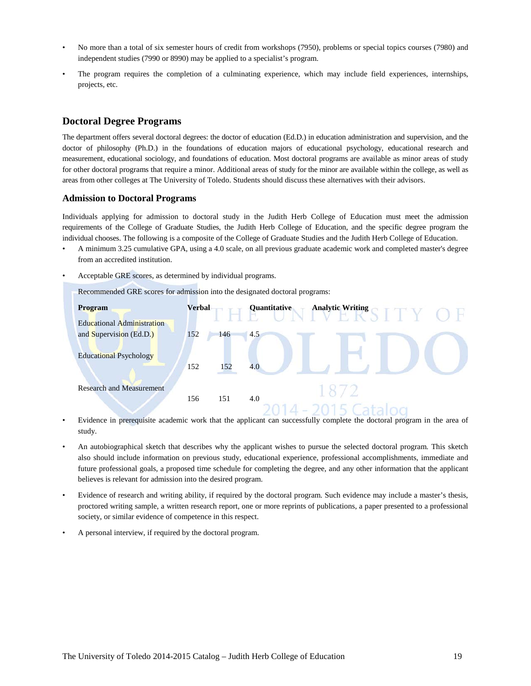- No more than a total of six semester hours of credit from workshops (7950), problems or special topics courses (7980) and independent studies (7990 or 8990) may be applied to a specialist's program.
- The program requires the completion of a culminating experience, which may include field experiences, internships, projects, etc.

## **Doctoral Degree Programs**

The department offers several doctoral degrees: the doctor of education (Ed.D.) in education administration and supervision, and the doctor of philosophy (Ph.D.) in the foundations of education majors of educational psychology, educational research and measurement, educational sociology, and foundations of education. Most doctoral programs are available as minor areas of study for other doctoral programs that require a minor. Additional areas of study for the minor are available within the college, as well as areas from other colleges at The University of Toledo. Students should discuss these alternatives with their advisors.

#### **Admission to Doctoral Programs**

Individuals applying for admission to doctoral study in the Judith Herb College of Education must meet the admission requirements of the College of Graduate Studies, the Judith Herb College of Education, and the specific degree program the individual chooses. The following is a composite of the College of Graduate Studies and the Judith Herb College of Education.

- A minimum 3.25 cumulative GPA, using a 4.0 scale, on all previous graduate academic work and completed master's degree from an accredited institution.
- Acceptable GRE scores, as determined by individual programs.

Recommended GRE scores for admission into the designated doctoral programs:



- Evidence in prerequisite academic work that the applicant can successfully complete the doctoral program in the area of study.
- An autobiographical sketch that describes why the applicant wishes to pursue the selected doctoral program*.* This sketch also should include information on previous study, educational experience, professional accomplishments, immediate and future professional goals, a proposed time schedule for completing the degree, and any other information that the applicant believes is relevant for admission into the desired program.
- Evidence of research and writing ability, if required by the doctoral program. Such evidence may include a master's thesis, proctored writing sample, a written research report, one or more reprints of publications, a paper presented to a professional society, or similar evidence of competence in this respect.
- A personal interview, if required by the doctoral program.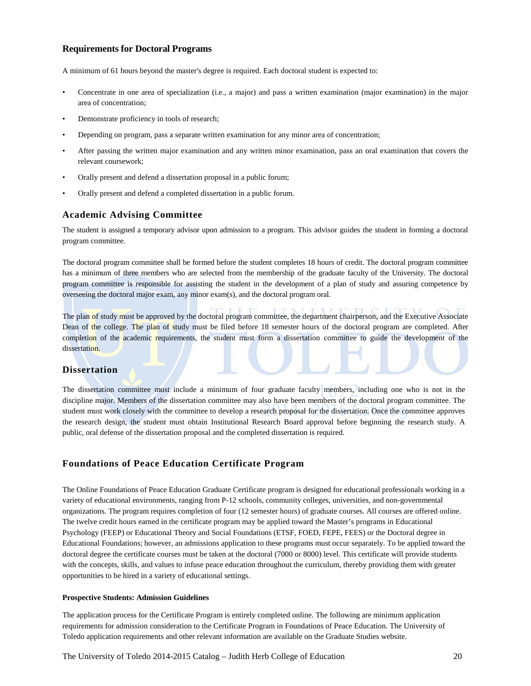#### **Requirements for Doctoral Programs**

A minimum of 61 hours beyond the master's degree is required. Each doctoral student is expected to:

- Concentrate in one area of specialization (i.e., a major) and pass a written examination (major examination) in the major area of concentration;
- Demonstrate proficiency in tools of research;
- Depending on program, pass a separate written examination for any minor area of concentration;
- After passing the written major examination and any written minor examination, pass an oral examination that covers the relevant coursework;
- Orally present and defend a dissertation proposal in a public forum;
- Orally present and defend a completed dissertation in a public forum.

## **Academic Advising Committee**

The student is assigned a temporary advisor upon admission to a program. This advisor guides the student in forming a doctoral program committee.

The doctoral program committee shall be formed before the student completes 18 hours of credit. The doctoral program committee has a minimum of three members who are selected from the membership of the graduate faculty of the University. The doctoral program committee is responsible for assisting the student in the development of a plan of study and assuring competence by overseeing the doctoral major exam, any minor exam(s), and the doctoral program oral.

The plan of study must be approved by the doctoral program committee, the department chairperson, and the Executive Associate Dean of the college. The plan of study must be filed before 18 semester hours of the doctoral program are completed. After completion of the academic requirements, the student must form a dissertation committee to guide the development of the dissertation.

## **Dissertation**

The dissertation committee must include a minimum of four graduate faculty members, including one who is not in the discipline major. Members of the dissertation committee may also have been members of the doctoral program committee. The student must work closely with the committee to develop a research proposal for the dissertation. Once the committee approves the research design, the student must obtain Institutional Research Board approval before beginning the research study. A public, oral defense of the dissertation proposal and the completed dissertation is required.

## **Foundations of Peace Education Certificate Program**

The Online Foundations of Peace Education Graduate Certificate program is designed for educational professionals working in a variety of educational environments, ranging from P-12 schools, community colleges, universities, and non-governmental organizations. The program requires completion of four (12 semester hours) of graduate courses. All courses are offered online. The twelve credit hours earned in the certificate program may be applied toward the Master's programs in Educational Psychology (FEEP) or Educational Theory and Social Foundations (ETSF, FOED, FEPE, FEES) or the Doctoral degree in Educational Foundations; however, an admissions application to these programs must occur separately. To be applied toward the doctoral degree the certificate courses must be taken at the doctoral (7000 or 8000) level. This certificate will provide students with the concepts, skills, and values to infuse peace education throughout the curriculum, thereby providing them with greater opportunities to be hired in a variety of educational settings.

#### **Prospective Students: Admission Guidelines**

The application process for the Certificate Program is entirely completed online. The following are minimum application requirements for admission consideration to the Certificate Program in Foundations of Peace Education. The University of Toledo application requirements and other relevant information are available on the Graduate Studies website.